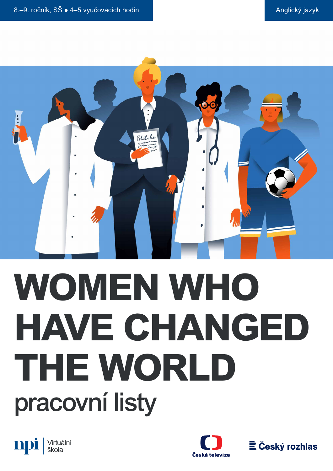

# **WOMEN WHO HAVE CHANGED THE WORLD** pracovní listy





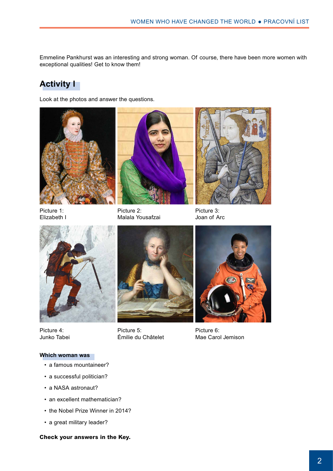Emmeline Pankhurst was an interesting and strong woman. Of course, there have been more women with exceptional qualities! Get to know them!

# **Activity I**

Look at the photos and answer the questions.



Picture 1: Elizabeth I



Picture 2: Malala Yousafzai



Picture 3: Joan of Arc



Picture 4: Junko Tabei

Picture 5: Émilie du Châtelet



Picture 6: Mae Carol Jemison

#### **Which woman was**

- a famous mountaineer?
- a successful politician?
- a NASA astronaut?
- an excellent mathematician?
- the Nobel Prize Winner in 2014?
- a great military leader?

**Check your answers in the Key.**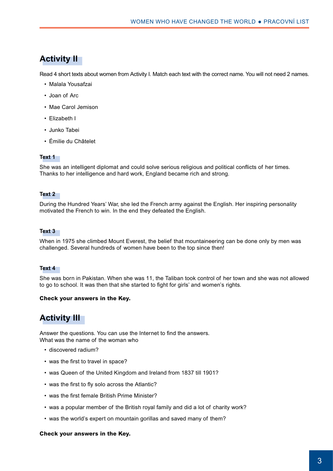# **Activity II**

Read 4 short texts about women from Activity I. Match each text with the correct name. You will not need 2 names.

- • Malala Yousafzai
- Joan of Arc
- • Mae Carol Jemison
- • Elizabeth I
- • Junko Tabei
- • Émilie du Châtelet

#### **Text 1**

She was an intelligent diplomat and could solve serious religious and political conflicts of her times. Thanks to her intelligence and hard work, England became rich and strong.

#### **Text 2**

During the Hundred Years' War, she led the French army against the English. Her inspiring personality motivated the French to win. In the end they defeated the English.

#### **Text 3**

When in 1975 she climbed Mount Everest, the belief that mountaineering can be done only by men was challenged. Several hundreds of women have been to the top since then!

#### **Text 4**

She was born in Pakistan. When she was 11, the Taliban took control of her town and she was not allowed to go to school. It was then that she started to fight for girls' and women's rights.

#### **Check your answers in the Key.**

# **Activity III**

Answer the questions. You can use the Internet to find the answers. What was the name of the woman who

- discovered radium?
- was the first to travel in space?
- was Queen of the United Kingdom and Ireland from 1837 till 1901?
- was the first to fly solo across the Atlantic?
- was the first female British Prime Minister?
- was a popular member of the British royal family and did a lot of charity work?
- was the world's expert on mountain gorillas and saved many of them?

#### **Check your answers in the Key.**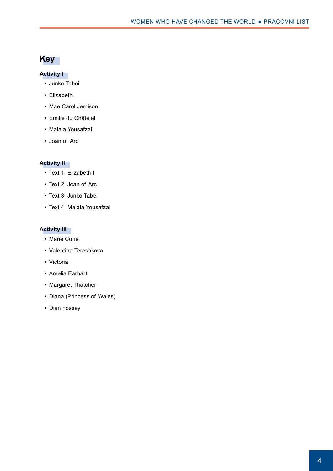# **Key**

### **Activity I**

- • Junko Tabei
- Elizabeth I
- • Mae Carol Jemison
- • Émilie du Châtelet
- • Malala Yousafzai
- • Joan of Arc

### **Activity II**

- Text 1: Elizabeth I
- Text 2: Joan of Arc
- Text 3: Junko Tabei
- • Text 4: Malala Yousafzai

#### **Activity III**

- • Marie Curie
- • Valentina Tereshkova
- • Victoria
- • Amelia Earhart
- Margaret Thatcher
- • Diana (Princess of Wales)
- Dian Fossey